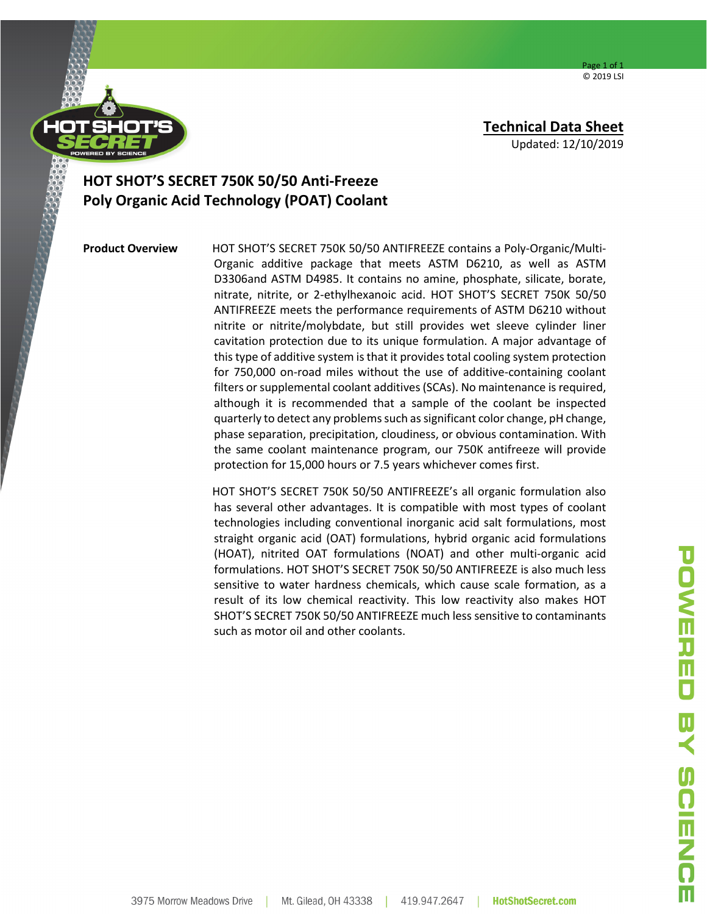Page 1 of 1 © 2019 LSI



**Technical Data Sheet**

Updated: 12/10/2019

## **HOT SHOT'S SECRET 750K 50/50 Anti-Freeze Poly Organic Acid Technology (POAT) Coolant**

**Product Overview** HOT SHOT'S SECRET 750K 50/50 ANTIFREEZE contains a Poly-Organic/Multi-Organic additive package that meets ASTM D6210, as well as ASTM D3306and ASTM D4985. It contains no amine, phosphate, silicate, borate, nitrate, nitrite, or 2-ethylhexanoic acid. HOT SHOT'S SECRET 750K 50/50 ANTIFREEZE meets the performance requirements of ASTM D6210 without nitrite or nitrite/molybdate, but still provides wet sleeve cylinder liner cavitation protection due to its unique formulation. A major advantage of this type of additive system is that it provides total cooling system protection for 750,000 on-road miles without the use of additive-containing coolant filters or supplemental coolant additives(SCAs). No maintenance is required, although it is recommended that a sample of the coolant be inspected quarterly to detect any problems such as significant color change, pH change, phase separation, precipitation, cloudiness, or obvious contamination. With the same coolant maintenance program, our 750K antifreeze will provide protection for 15,000 hours or 7.5 years whichever comes first.

> HOT SHOT'S SECRET 750K 50/50 ANTIFREEZE's all organic formulation also has several other advantages. It is compatible with most types of coolant technologies including conventional inorganic acid salt formulations, most straight organic acid (OAT) formulations, hybrid organic acid formulations (HOAT), nitrited OAT formulations (NOAT) and other multi-organic acid formulations. HOT SHOT'S SECRET 750K 50/50 ANTIFREEZE is also much less sensitive to water hardness chemicals, which cause scale formation, as a result of its low chemical reactivity. This low reactivity also makes HOT SHOT'S SECRET 750K 50/50 ANTIFREEZE much less sensitive to contaminants such as motor oil and other coolants.